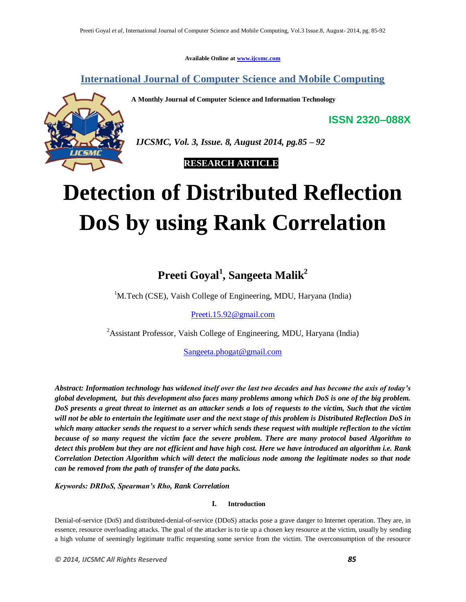**Available Online at www.ijcsmc.com**

**International Journal of Computer Science and Mobile Computing**

**A Monthly Journal of Computer Science and Information Technology**



 *IJCSMC, Vol. 3, Issue. 8, August 2014, pg.85 – 92*

 **RESEARCH ARTICLE**

# **Detection of Distributed Reflection DoS by using Rank Correlation**

# **Preeti Goyal<sup>1</sup> , Sangeeta Malik<sup>2</sup>**

<sup>1</sup>M.Tech (CSE), Vaish College of Engineering, MDU, Haryana (India)

Preeti.15.92@gmail.com

<sup>2</sup> Assistant Professor, Vaish College of Engineering, MDU, Haryana (India)

Sangeeta.phogat@gmail.com

*Abstract: Information technology has widened itself over the last two decades and has become the axis of today's global development, but this development also faces many problems among which DoS is one of the big problem. DoS presents a great threat to internet as an attacker sends a lots of requests to the victim, Such that the victim will not be able to entertain the legitimate user and the next stage of this problem is Distributed Reflection DoS in which many attacker sends the request to a server which sends these request with multiple reflection to the victim because of so many request the victim face the severe problem. There are many protocol based Algorithm to detect this problem but they are not efficient and have high cost. Here we have introduced an algorithm i.e. Rank Correlation Detection Algorithm which will detect the malicious node among the legitimate nodes so that node can be removed from the path of transfer of the data packs.*

*Keywords: DRDoS, Spearman's Rho, Rank Correlation*

## **I. Introduction**

Denial-of-service (DoS) and distributed-denial-of-service (DDoS) attacks pose a grave danger to Internet operation. They are, in essence, resource overloading attacks. The goal of the attacker is to tie up a chosen key resource at the victim, usually by sending a high volume of seemingly legitimate traffic requesting some service from the victim. The overconsumption of the resource

**ISSN 2320–088X**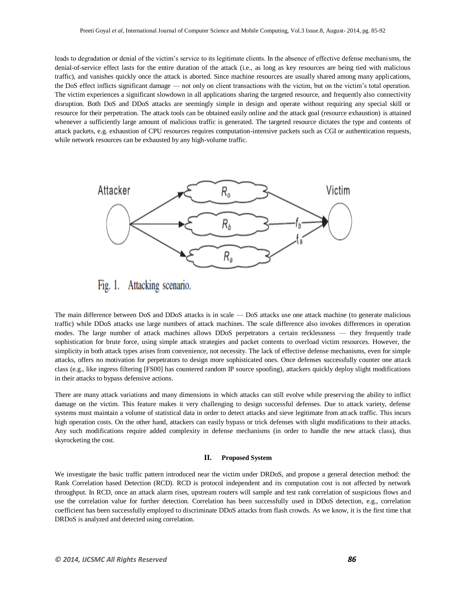leads to degradation or denial of the victim's service to its legitimate clients. In the absence of effective defense mechanisms, the denial-of-service effect lasts for the entire duration of the attack (i.e., as long as key resources are being tied with malicious traffic), and vanishes quickly once the attack is aborted. Since machine resources are usually shared among many applications, the DoS effect inflicts significant damage — not only on client transactions with the victim, but on the victim's total operation. The victim experiences a significant slowdown in all applications sharing the targeted resource, and frequently also connectivity disruption. Both DoS and DDoS attacks are seemingly simple in design and operate without requiring any special skill or resource for their perpetration. The attack tools can be obtained easily online and the attack goal (resource exhaustion) is attained whenever a sufficiently large amount of malicious traffic is generated. The targeted resource dictates the type and contents of attack packets, e.g. exhaustion of CPU resources requires computation-intensive packets such as CGI or authentication requests, while network resources can be exhausted by any high-volume traffic.



Fig. 1. Attacking scenario.

The main difference between DoS and DDoS attacks is in scale — DoS attacks use one attack machine (to generate malicious traffic) while DDoS attacks use large numbers of attack machines. The scale difference also invokes differences in operation modes. The large number of attack machines allows DDoS perpetrators a certain recklessness — they frequently trade sophistication for brute force, using simple attack strategies and packet contents to overload victim resources. However, the simplicity in both attack types arises from convenience, not necessity. The lack of effective defense mechanisms, even for simple attacks, offers no motivation for perpetrators to design more sophisticated ones. Once defenses successfully counter one attack class (e.g., like ingress filtering [FS00] has countered random IP source spoofing), attackers quickly deploy slight modifications in their attacks to bypass defensive actions.

There are many attack variations and many dimensions in which attacks can still evolve while preserving the ability to inflict damage on the victim. This feature makes it very challenging to design successful defenses. Due to attack variety, defense systems must maintain a volume of statistical data in order to detect attacks and sieve legitimate from attack traffic. This incurs high operation costs. On the other hand, attackers can easily bypass or trick defenses with slight modifications to their attacks. Any such modifications require added complexity in defense mechanisms (in order to handle the new attack class), thus skyrocketing the cost.

#### **II. Proposed System**

We investigate the basic traffic pattern introduced near the victim under DRDoS, and propose a general detection method: the Rank Correlation based Detection (RCD). RCD is protocol independent and its computation cost is not affected by network throughput. In RCD, once an attack alarm rises, upstream routers will sample and test rank correlation of suspicious flows and use the correlation value for further detection. Correlation has been successfully used in DDoS detection, e.g., correlation coefficient has been successfully employed to discriminate DDoS attacks from flash crowds. As we know, it is the first time that DRDoS is analyzed and detected using correlation.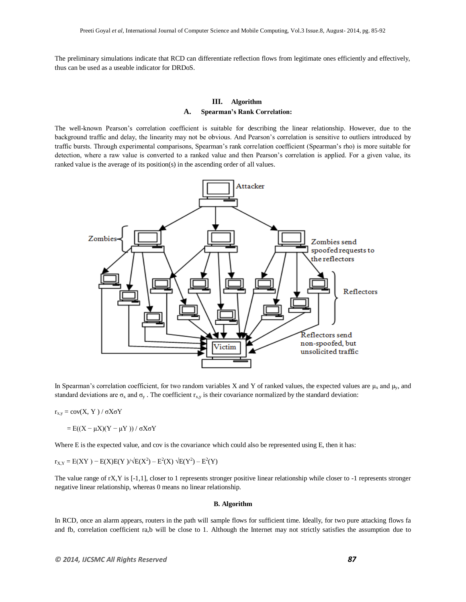The preliminary simulations indicate that RCD can differentiate reflection flows from legitimate ones efficiently and effectively, thus can be used as a useable indicator for DRDoS.

### **III. Algorithm A. Spearman's Rank Correlation:**

The well-known Pearson's correlation coefficient is suitable for describing the linear relationship. However, due to the background traffic and delay, the linearity may not be obvious. And Pearson's correlation is sensitive to outliers introduced by traffic bursts. Through experimental comparisons, Spearman's rank correlation coefficient (Spearman's rho) is more suitable for detection, where a raw value is converted to a ranked value and then Pearson's correlation is applied. For a given value, its ranked value is the average of its position(s) in the ascending order of all values.



In Spearman's correlation coefficient, for two random variables X and Y of ranked values, the expected values are  $\mu_x$  and  $\mu_y$ , and standard deviations are  $\sigma_x$  and  $\sigma_y$ . The coefficient r<sub>xy</sub> is their covariance normalized by the standard deviation:

 $r_{x,y} = cov(X, Y) / σXσY$ 

 $=$  E((X –  $\mu$ X)(Y –  $\mu$ Y)) /  $\sigma$ X $\sigma$ Y

Where E is the expected value, and cov is the covariance which could also be represented using E, then it has:

 $r_{X,Y} = E(XY) - E(X)E(Y)/\sqrt{E(X^2)} - E^2(X)\sqrt{E(Y^2)} - E^2(Y)$ 

The value range of rX,Y is [-1,1], closer to 1 represents stronger positive linear relationship while closer to -1 represents stronger negative linear relationship, whereas 0 means no linear relationship.

#### **B. Algorithm**

In RCD, once an alarm appears, routers in the path will sample flows for sufficient time. Ideally, for two pure attacking flows fa and fb, correlation coefficient ra,b will be close to 1. Although the Internet may not strictly satisfies the assumption due to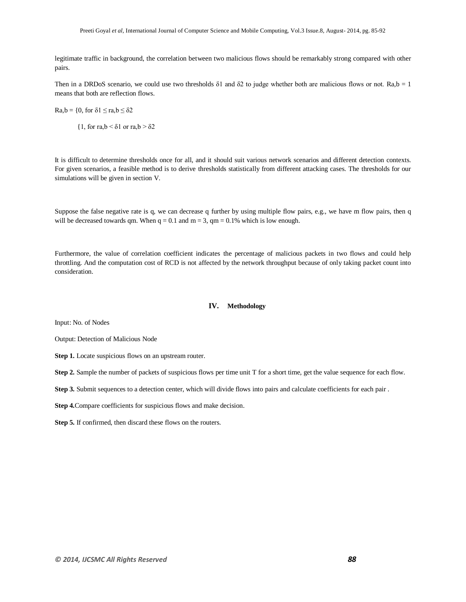legitimate traffic in background, the correlation between two malicious flows should be remarkably strong compared with other pairs.

Then in a DRDoS scenario, we could use two thresholds  $\delta$ 1 and  $\delta$ 2 to judge whether both are malicious flows or not. Ra,b = 1 means that both are reflection flows.

 $Ra, b = \{0, \text{ for } \delta 1 \leq ra, b \leq \delta 2\}$ 

 ${1, for r a,b < \delta1 or r a,b > \delta2}$ 

It is difficult to determine thresholds once for all, and it should suit various network scenarios and different detection contexts. For given scenarios, a feasible method is to derive thresholds statistically from different attacking cases. The thresholds for our simulations will be given in section V.

Suppose the false negative rate is q, we can decrease q further by using multiple flow pairs, e.g., we have m flow pairs, then q will be decreased towards qm. When  $q = 0.1$  and  $m = 3$ , qm = 0.1% which is low enough.

Furthermore, the value of correlation coefficient indicates the percentage of malicious packets in two flows and could help throttling. And the computation cost of RCD is not affected by the network throughput because of only taking packet count into consideration.

#### **IV. Methodology**

Input: No. of Nodes

Output: Detection of Malicious Node

**Step 1.** Locate suspicious flows on an upstream router.

**Step 2.** Sample the number of packets of suspicious flows per time unit T for a short time, get the value sequence for each flow.

**Step 3.** Submit sequences to a detection center, which will divide flows into pairs and calculate coefficients for each pair .

**Step 4.**Compare coefficients for suspicious flows and make decision.

**Step 5.** If confirmed, then discard these flows on the routers.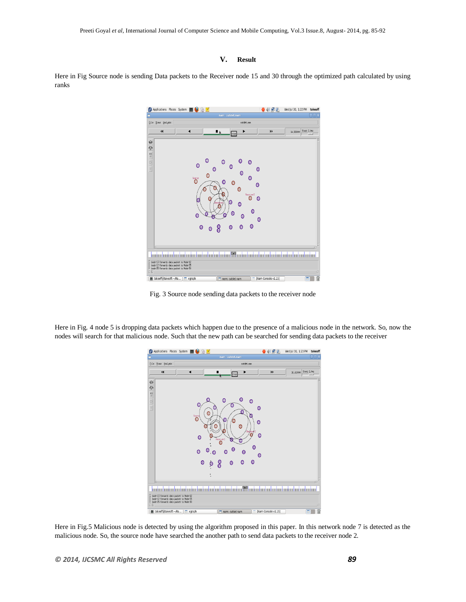#### **V. Result**

Here in Fig Source node is sending Data packets to the Receiver node 15 and 30 through the optimized path calculated by using ranks



Fig. 3 Source node sending data packets to the receiver node

Here in Fig. 4 node 5 is dropping data packets which happen due to the presence of a malicious node in the network. So, now the nodes will search for that malicious node. Such that the new path can be searched for sending data packets to the receiver



Here in Fig.5 Malicious node is detected by using the algorithm proposed in this paper. In this network node 7 is detected as the malicious node. So, the source node have searched the another path to send data packets to the receiver node 2.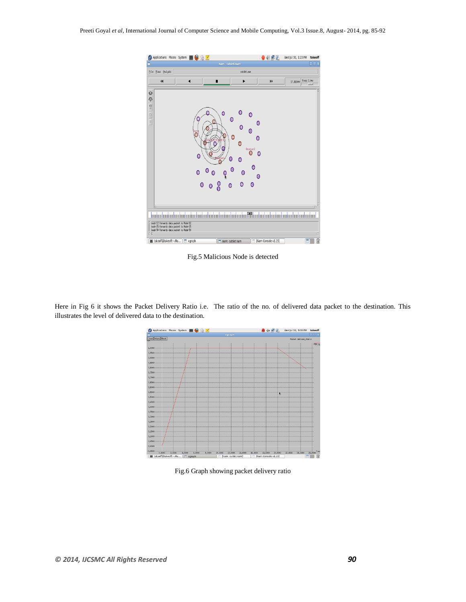

Fig.5 Malicious Node is detected

Here in Fig 6 it shows the Packet Delivery Ratio i.e. The ratio of the no. of delivered data packet to the destination. This illustrates the level of delivered data to the destination.



Fig.6 Graph showing packet delivery ratio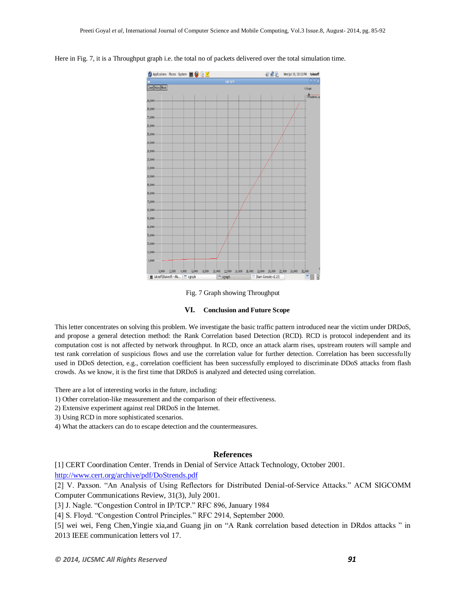

Here in Fig. 7, it is a Throughput graph i.e. the total no of packets delivered over the total simulation time.

#### Fig. 7 Graph showing Throughput

#### **VI. Conclusion and Future Scope**

This letter concentrates on solving this problem. We investigate the basic traffic pattern introduced near the victim under DRDoS, and propose a general detection method: the Rank Correlation based Detection (RCD). RCD is protocol independent and its computation cost is not affected by network throughput. In RCD, once an attack alarm rises, upstream routers will sample and test rank correlation of suspicious flows and use the correlation value for further detection. Correlation has been successfully used in DDoS detection, e.g., correlation coefficient has been successfully employed to discriminate DDoS attacks from flash crowds. As we know, it is the first time that DRDoS is analyzed and detected using correlation.

There are a lot of interesting works in the future, including:

- 1) Other correlation-like measurement and the comparison of their effectiveness.
- 2) Extensive experiment against real DRDoS in the Internet.
- 3) Using RCD in more sophisticated scenarios.
- 4) What the attackers can do to escape detection and the countermeasures.

#### **References**

[1] CERT Coordination Center. Trends in Denial of Service Attack Technology, October 2001.

<http://www.cert.org/archive/pdf/DoStrends.pdf>

[2] V. Paxson. "An Analysis of Using Reflectors for Distributed Denial-of-Service Attacks." ACM SIGCOMM Computer Communications Review, 31(3), July 2001.

[3] J. Nagle. "Congestion Control in IP/TCP." RFC 896, January 1984

[4] S. Floyd. "Congestion Control Principles." RFC 2914, September 2000.

[5] wei wei, Feng Chen, Yingie xia,and Guang jin on "A Rank correlation based detection in DRdos attacks " in 2013 IEEE communication letters vol 17.